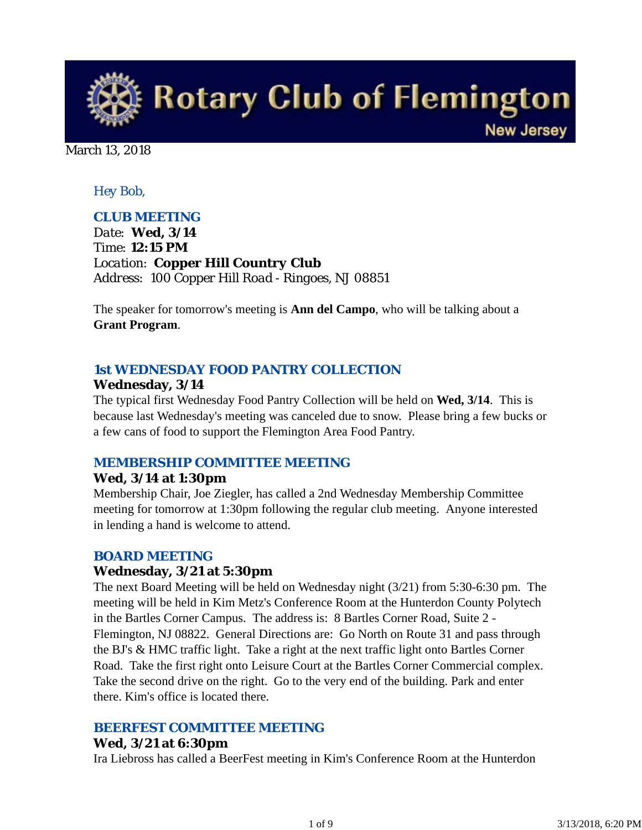

March 13, 2018

## *Hey Bob,*

## *CLUB MEETING*

*Date: Wed, 3/14 Time: 12:15 PM Location: Copper Hill Country Club Address: 100 Copper Hill Road - Ringoes, NJ 08851*

The speaker for tomorrow's meeting is **Ann del Campo**, who will be talking about a **Grant Program**.

## *1st WEDNESDAY FOOD PANTRY COLLECTION*

### **Wednesday, 3/14**

The typical first Wednesday Food Pantry Collection will be held on **Wed, 3/14**. This is because last Wednesday's meeting was canceled due to snow. Please bring a few bucks or a few cans of food to support the Flemington Area Food Pantry.

### *MEMBERSHIP COMMITTEE MEETING*

### **Wed, 3/14 at 1:30pm**

Membership Chair, Joe Ziegler, has called a 2nd Wednesday Membership Committee meeting for tomorrow at 1:30pm following the regular club meeting. Anyone interested in lending a hand is welcome to attend.

### *BOARD MEETING*

### **Wednesday, 3/21 at 5:30pm**

The next Board Meeting will be held on Wednesday night (3/21) from 5:30-6:30 pm. The meeting will be held in Kim Metz's Conference Room at the Hunterdon County Polytech in the Bartles Corner Campus. The address is: 8 Bartles Corner Road, Suite 2 - Flemington, NJ 08822. General Directions are: Go North on Route 31 and pass through the BJ's & HMC traffic light. Take a right at the next traffic light onto Bartles Corner Road. Take the first right onto Leisure Court at the Bartles Corner Commercial complex. Take the second drive on the right. Go to the very end of the building. Park and enter there. Kim's office is located there.

### *BEERFEST COMMITTEE MEETING*

### **Wed, 3/21 at 6:30pm**

Ira Liebross has called a BeerFest meeting in Kim's Conference Room at the Hunterdon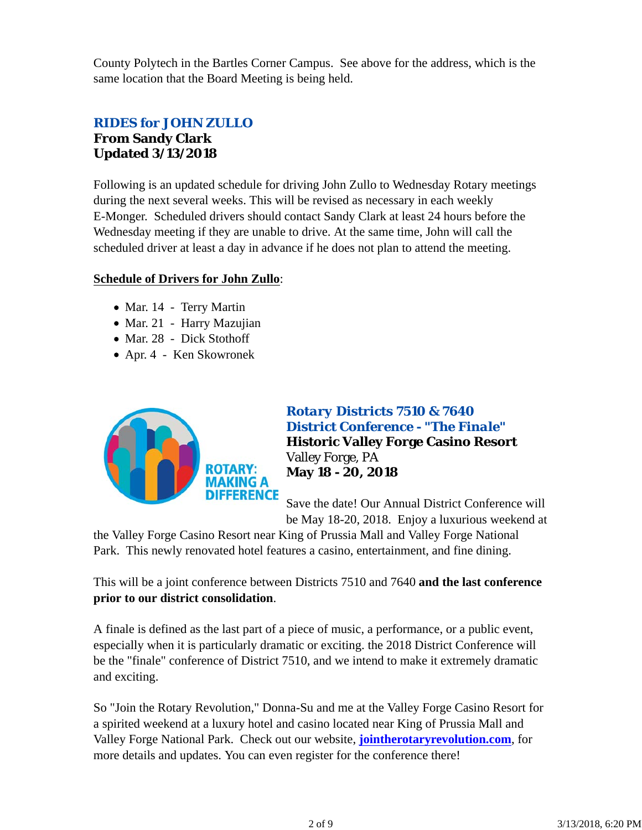County Polytech in the Bartles Corner Campus. See above for the address, which is the same location that the Board Meeting is being held.

# *RIDES for JOHN ZULLO* **From Sandy Clark Updated 3/13/2018**

Following is an updated schedule for driving John Zullo to Wednesday Rotary meetings during the next several weeks. This will be revised as necessary in each weekly E-Monger. Scheduled drivers should contact Sandy Clark at least 24 hours before the Wednesday meeting if they are unable to drive. At the same time, John will call the scheduled driver at least a day in advance if he does not plan to attend the meeting.

### **Schedule of Drivers for John Zullo**:

- Mar. 14 Terry Martin
- Mar. 21 Harry Mazujian
- Mar. 28 Dick Stothoff
- Apr. 4 Ken Skowronek



# *Rotary Districts 7510 & 7640 District Conference - "The Finale"* **Historic Valley Forge Casino Resort** Valley Forge, PA **May 18 - 20, 2018**

Save the date! Our Annual District Conference will be May 18-20, 2018. Enjoy a luxurious weekend at

the Valley Forge Casino Resort near King of Prussia Mall and Valley Forge National Park. This newly renovated hotel features a casino, entertainment, and fine dining.

This will be a joint conference between Districts 7510 and 7640 **and the last conference prior to our district consolidation**.

A finale is defined as the last part of a piece of music, a performance, or a public event, especially when it is particularly dramatic or exciting. the 2018 District Conference will be the "finale" conference of District 7510, and we intend to make it extremely dramatic and exciting.

So "Join the Rotary Revolution," Donna-Su and me at the Valley Forge Casino Resort for a spirited weekend at a luxury hotel and casino located near King of Prussia Mall and Valley Forge National Park. Check out our website, **jointherotaryrevolution.com**, for more details and updates. You can even register for the conference there!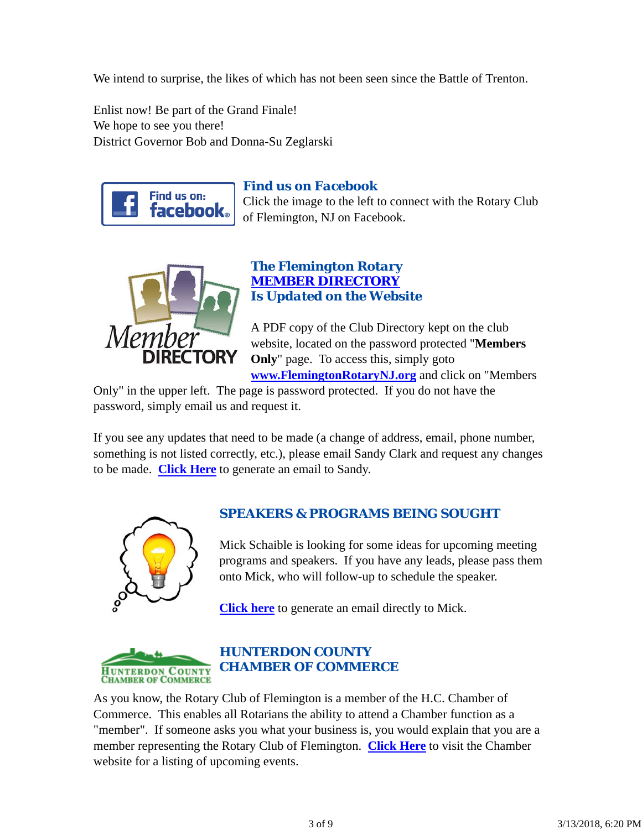We intend to surprise, the likes of which has not been seen since the Battle of Trenton.

Enlist now! Be part of the Grand Finale! We hope to see you there! District Governor Bob and Donna-Su Zeglarski



# *Find us on Facebook*

Click the image to the left to connect with the Rotary Club of Flemington, NJ on Facebook.



## *The Flemington Rotary MEMBER DIRECTORY Is Updated on the Website*

A PDF copy of the Club Directory kept on the club website, located on the password protected "**Members Only**" page. To access this, simply goto **www.FlemingtonRotaryNJ.org** and click on "Members

Only" in the upper left. The page is password protected. If you do not have the password, simply email us and request it.

If you see any updates that need to be made (a change of address, email, phone number, something is not listed correctly, etc.), please email Sandy Clark and request any changes to be made. **Click Here** to generate an email to Sandy.



# *SPEAKERS & PROGRAMS BEING SOUGHT*

Mick Schaible is looking for some ideas for upcoming meeting programs and speakers. If you have any leads, please pass them onto Mick, who will follow-up to schedule the speaker.

**Click here** to generate an email directly to Mick.



# *HUNTERDON COUNTY CHAMBER OF COMMERCE*

As you know, the Rotary Club of Flemington is a member of the H.C. Chamber of Commerce. This enables all Rotarians the ability to attend a Chamber function as a "member". If someone asks you what your business is, you would explain that you are a member representing the Rotary Club of Flemington. **Click Here** to visit the Chamber website for a listing of upcoming events.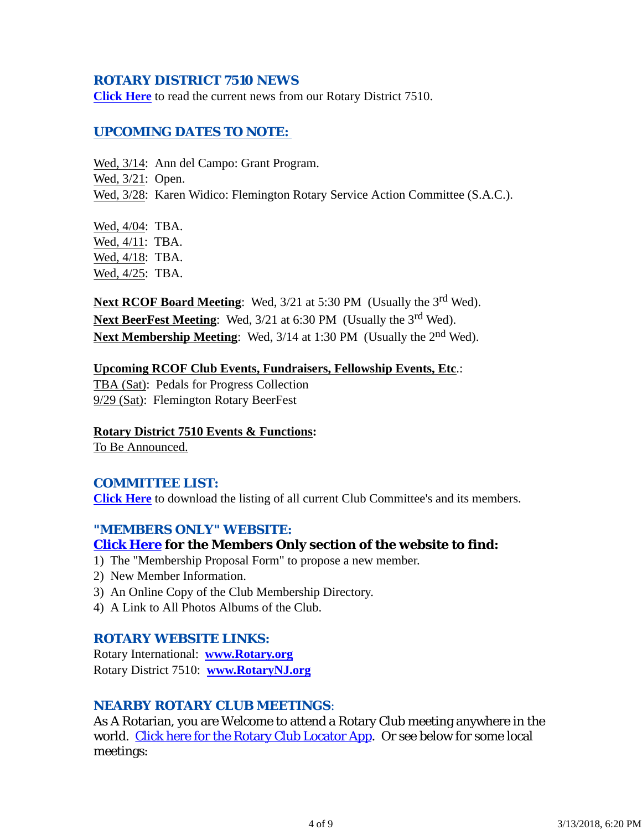### *ROTARY DISTRICT 7510 NEWS*

**Click Here** to read the current news from our Rotary District 7510.

### *UPCOMING DATES TO NOTE:*

Wed, 3/14: Ann del Campo: Grant Program.

Wed, 3/21: Open.

Wed, 3/28: Karen Widico: Flemington Rotary Service Action Committee (S.A.C.).

Wed, 4/04: TBA. Wed, 4/11: TBA. Wed, 4/18: TBA. Wed, 4/25: TBA.

**Next RCOF Board Meeting**: Wed, 3/21 at 5:30 PM (Usually the 3<sup>rd</sup> Wed). **Next BeerFest Meeting:** Wed,  $3/21$  at 6:30 PM (Usually the 3<sup>rd</sup> Wed). **Next Membership Meeting:** Wed,  $3/14$  at 1:30 PM (Usually the 2<sup>nd</sup> Wed).

# **Upcoming RCOF Club Events, Fundraisers, Fellowship Events, Etc**.:

TBA (Sat): Pedals for Progress Collection 9/29 (Sat): Flemington Rotary BeerFest

### **Rotary District 7510 Events & Functions:**

To Be Announced.

### *COMMITTEE LIST:*

**Click Here** to download the listing of all current Club Committee's and its members.

### *"MEMBERS ONLY" WEBSITE:*

### **Click Here for the Members Only section of the website to find:**

- 1) The "Membership Proposal Form" to propose a new member.
- 2) New Member Information.
- 3) An Online Copy of the Club Membership Directory.
- 4) A Link to All Photos Albums of the Club.

### *ROTARY WEBSITE LINKS:*

Rotary International: **www.Rotary.org** Rotary District 7510: **www.RotaryNJ.org**

### *NEARBY ROTARY CLUB MEETINGS:*

As A Rotarian, you are Welcome to attend a Rotary Club meeting anywhere in the world. Click here for the Rotary Club Locator App. Or see below for some local meetings: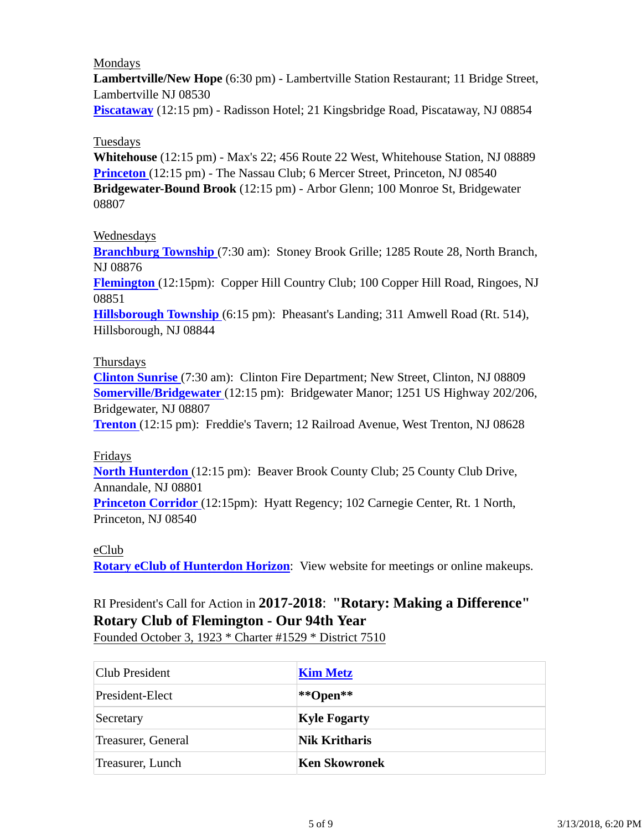### Mondays

**Lambertville/New Hope** (6:30 pm) - Lambertville Station Restaurant; 11 Bridge Street, Lambertville NJ 08530

**Piscataway** (12:15 pm) - Radisson Hotel; 21 Kingsbridge Road, Piscataway, NJ 08854

### Tuesdays

**Whitehouse** (12:15 pm) - Max's 22; 456 Route 22 West, Whitehouse Station, NJ 08889 **Princeton** (12:15 pm) - The Nassau Club; 6 Mercer Street, Princeton, NJ 08540 **Bridgewater-Bound Brook** (12:15 pm) - Arbor Glenn; 100 Monroe St, Bridgewater 08807

### Wednesdays

**Branchburg Township** (7:30 am): Stoney Brook Grille; 1285 Route 28, North Branch, NJ 08876

**Flemington** (12:15pm): Copper Hill Country Club; 100 Copper Hill Road, Ringoes, NJ 08851

**Hillsborough Township** (6:15 pm): Pheasant's Landing; 311 Amwell Road (Rt. 514), Hillsborough, NJ 08844

### Thursdays

**Clinton Sunrise** (7:30 am): Clinton Fire Department; New Street, Clinton, NJ 08809 **Somerville/Bridgewater** (12:15 pm): Bridgewater Manor; 1251 US Highway 202/206, Bridgewater, NJ 08807

**Trenton** (12:15 pm): Freddie's Tavern; 12 Railroad Avenue, West Trenton, NJ 08628

### Fridays

**North Hunterdon** (12:15 pm): Beaver Brook County Club; 25 County Club Drive, Annandale, NJ 08801

**Princeton Corridor** (12:15pm): Hyatt Regency; 102 Carnegie Center, Rt. 1 North, Princeton, NJ 08540

### eClub

**Rotary eClub of Hunterdon Horizon**: View website for meetings or online makeups.

# RI President's Call for Action in **2017-2018**: **"Rotary: Making a Difference" Rotary Club of Flemington - Our 94th Year**

Founded October 3, 1923 \* Charter #1529 \* District 7510

| Club President     | <b>Kim Metz</b>      |
|--------------------|----------------------|
| President-Elect    | **Open**             |
| Secretary          | <b>Kyle Fogarty</b>  |
| Treasurer, General | <b>Nik Kritharis</b> |
| Treasurer, Lunch   | Ken Skowronek        |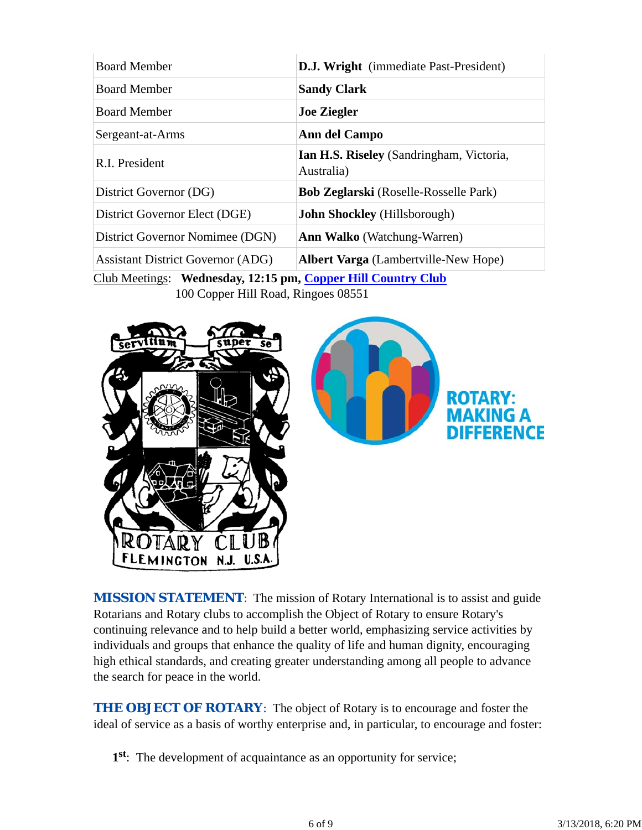| <b>D.J. Wright</b> (immediate Past-President) |
|-----------------------------------------------|
|                                               |
|                                               |
|                                               |
| Ian H.S. Riseley (Sandringham, Victoria,      |
| <b>Bob Zeglarski</b> (Roselle-Rosselle Park)  |
|                                               |
|                                               |
| <b>Albert Varga</b> (Lambertville-New Hope)   |
|                                               |

Club Meetings: **Wednesday, 12:15 pm, Copper Hill Country Club** 100 Copper Hill Road, Ringoes 08551



**MISSION STATEMENT:** The mission of Rotary International is to assist and guide Rotarians and Rotary clubs to accomplish the Object of Rotary to ensure Rotary's continuing relevance and to help build a better world, emphasizing service activities by individuals and groups that enhance the quality of life and human dignity, encouraging high ethical standards, and creating greater understanding among all people to advance the search for peace in the world.

**THE OBJECT OF ROTARY:** The object of Rotary is to encourage and foster the ideal of service as a basis of worthy enterprise and, in particular, to encourage and foster:

**1st**: The development of acquaintance as an opportunity for service;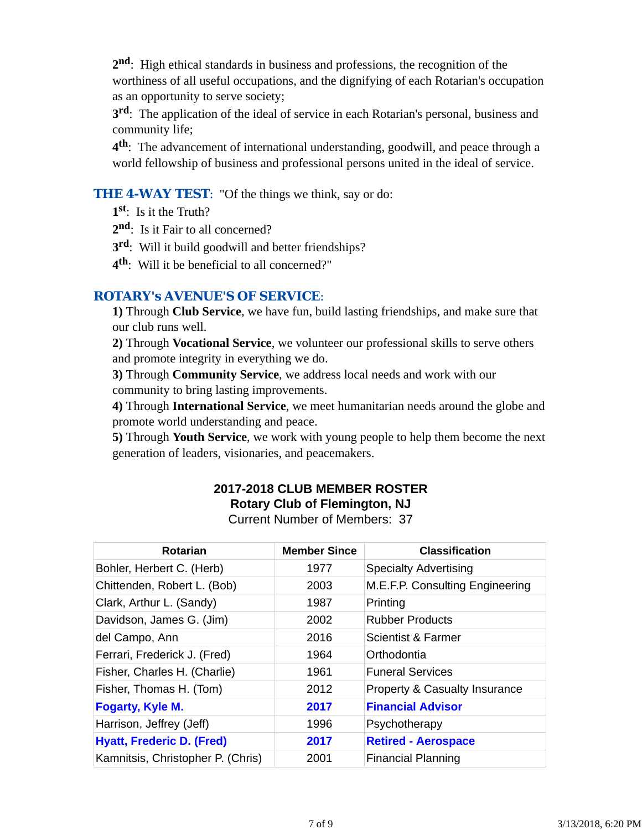**2nd**: High ethical standards in business and professions, the recognition of the worthiness of all useful occupations, and the dignifying of each Rotarian's occupation as an opportunity to serve society;

**3rd**: The application of the ideal of service in each Rotarian's personal, business and community life;

**4th**: The advancement of international understanding, goodwill, and peace through a world fellowship of business and professional persons united in the ideal of service.

### **THE 4-WAY TEST:** "Of the things we think, say or do:

**1st**: Is it the Truth?

2<sup>nd</sup>: Is it Fair to all concerned?

- **3rd**: Will it build goodwill and better friendships?
- **4th**: Will it be beneficial to all concerned?"

## *ROTARY's AVENUE'S OF SERVICE*:

**1)** Through **Club Service**, we have fun, build lasting friendships, and make sure that our club runs well.

**2)** Through **Vocational Service**, we volunteer our professional skills to serve others and promote integrity in everything we do.

**3)** Through **Community Service**, we address local needs and work with our community to bring lasting improvements.

**4)** Through **International Service**, we meet humanitarian needs around the globe and promote world understanding and peace.

**5)** Through **Youth Service**, we work with young people to help them become the next generation of leaders, visionaries, and peacemakers.

### **2017-2018 CLUB MEMBER ROSTER Rotary Club of Flemington, NJ** Current Number of Members: 37

| <b>Rotarian</b>                   | <b>Member Since</b> | <b>Classification</b>                    |
|-----------------------------------|---------------------|------------------------------------------|
| Bohler, Herbert C. (Herb)         | 1977                | <b>Specialty Advertising</b>             |
| Chittenden, Robert L. (Bob)       | 2003                | M.E.F.P. Consulting Engineering          |
| Clark, Arthur L. (Sandy)          | 1987                | Printing                                 |
| Davidson, James G. (Jim)          | 2002                | <b>Rubber Products</b>                   |
| del Campo, Ann                    | 2016                | Scientist & Farmer                       |
| Ferrari, Frederick J. (Fred)      | 1964                | Orthodontia                              |
| Fisher, Charles H. (Charlie)      | 1961                | <b>Funeral Services</b>                  |
| Fisher, Thomas H. (Tom)           | 2012                | <b>Property &amp; Casualty Insurance</b> |
| <b>Fogarty, Kyle M.</b>           | 2017                | <b>Financial Advisor</b>                 |
| Harrison, Jeffrey (Jeff)          | 1996                | Psychotherapy                            |
| <b>Hyatt, Frederic D. (Fred)</b>  | 2017                | <b>Retired - Aerospace</b>               |
| Kamnitsis, Christopher P. (Chris) | 2001                | <b>Financial Planning</b>                |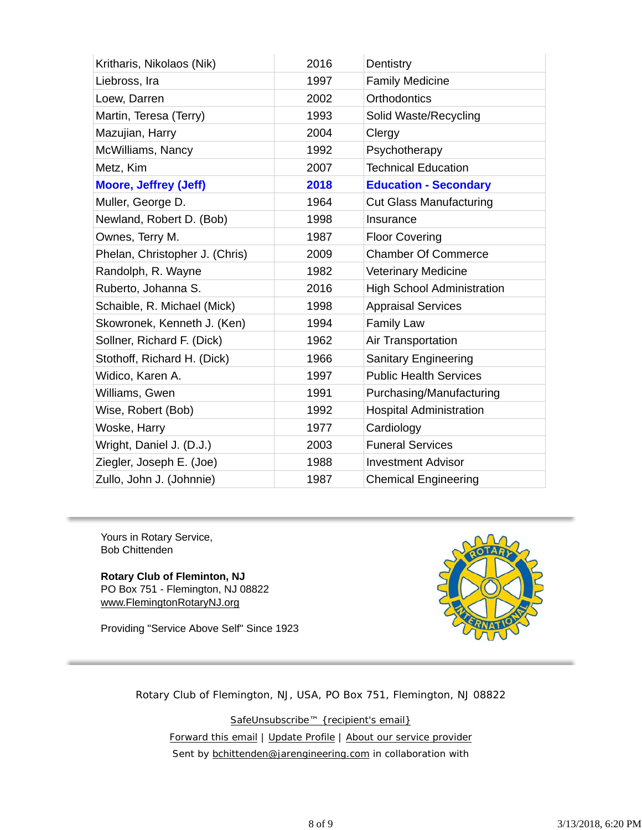| Kritharis, Nikolaos (Nik)      | 2016 | Dentistry                         |
|--------------------------------|------|-----------------------------------|
| Liebross, Ira                  | 1997 | <b>Family Medicine</b>            |
| Loew, Darren                   | 2002 | <b>Orthodontics</b>               |
| Martin, Teresa (Terry)         | 1993 | Solid Waste/Recycling             |
| Mazujian, Harry                | 2004 | Clergy                            |
| McWilliams, Nancy              | 1992 | Psychotherapy                     |
| Metz, Kim                      | 2007 | <b>Technical Education</b>        |
| <b>Moore, Jeffrey (Jeff)</b>   | 2018 | <b>Education - Secondary</b>      |
| Muller, George D.              | 1964 | <b>Cut Glass Manufacturing</b>    |
| Newland, Robert D. (Bob)       | 1998 | Insurance                         |
| Ownes, Terry M.                | 1987 | <b>Floor Covering</b>             |
| Phelan, Christopher J. (Chris) | 2009 | <b>Chamber Of Commerce</b>        |
| Randolph, R. Wayne             | 1982 | <b>Veterinary Medicine</b>        |
| Ruberto, Johanna S.            | 2016 | <b>High School Administration</b> |
| Schaible, R. Michael (Mick)    | 1998 | <b>Appraisal Services</b>         |
| Skowronek, Kenneth J. (Ken)    | 1994 | <b>Family Law</b>                 |
| Sollner, Richard F. (Dick)     | 1962 | Air Transportation                |
| Stothoff, Richard H. (Dick)    | 1966 | <b>Sanitary Engineering</b>       |
| Widico, Karen A.               | 1997 | <b>Public Health Services</b>     |
| Williams, Gwen                 | 1991 | Purchasing/Manufacturing          |
| Wise, Robert (Bob)             | 1992 | <b>Hospital Administration</b>    |
| Woske, Harry                   | 1977 | Cardiology                        |
| Wright, Daniel J. (D.J.)       | 2003 | <b>Funeral Services</b>           |
| Ziegler, Joseph E. (Joe)       | 1988 | <b>Investment Advisor</b>         |
| Zullo, John J. (Johnnie)       | 1987 | <b>Chemical Engineering</b>       |

Yours in Rotary Service, Bob Chittenden

**Rotary Club of Fleminton, NJ** PO Box 751 - Flemington, NJ 08822 www.FlemingtonRotaryNJ.org

Providing "Service Above Self" Since 1923



Rotary Club of Flemington, NJ, USA, PO Box 751, Flemington, NJ 08822

SafeUnsubscribe™ {recipient's email} Forward this email | Update Profile | About our service provider Sent by **bchittenden@jarengineering.com** in collaboration with